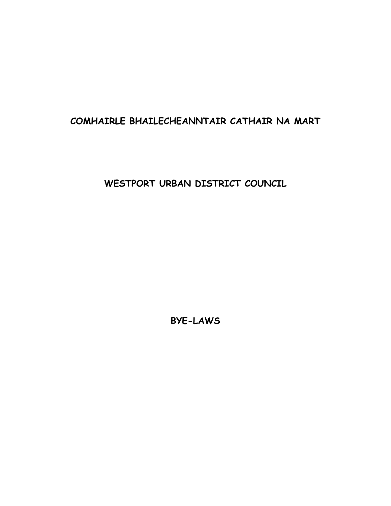# **COMHAIRLE BHAILECHEANNTAIR CATHAIR NA MART**

**WESTPORT URBAN DISTRICT COUNCIL**

**BYE-LAWS**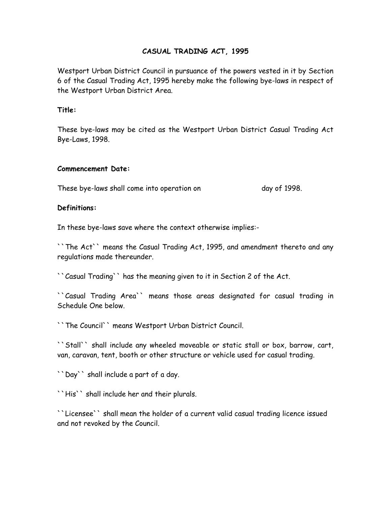### **CASUAL TRADING ACT, 1995**

Westport Urban District Council in pursuance of the powers vested in it by Section 6 of the Casual Trading Act, 1995 hereby make the following bye-laws in respect of the Westport Urban District Area.

#### **Title:**

These bye-laws may be cited as the Westport Urban District Casual Trading Act Bye-Laws, 1998.

#### **Commencement Date:**

These bye-laws shall come into operation on day of 1998.

#### **Definitions:**

In these bye-laws save where the context otherwise implies:-

``The Act`` means the Casual Trading Act, 1995, and amendment thereto and any regulations made thereunder.

``Casual Trading`` has the meaning given to it in Section 2 of the Act.

``Casual Trading Area`` means those areas designated for casual trading in Schedule One below.

``The Council`` means Westport Urban District Council.

``Stall`` shall include any wheeled moveable or static stall or box, barrow, cart, van, caravan, tent, booth or other structure or vehicle used for casual trading.

``Day`` shall include a part of a day.

``His`` shall include her and their plurals.

``Licensee`` shall mean the holder of a current valid casual trading licence issued and not revoked by the Council.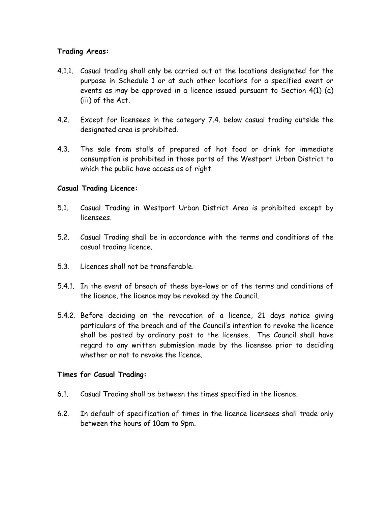#### **Trading Areas:**

- 4.1.1. Casual trading shall only be carried out at the locations designated for the purpose in Schedule 1 or at such other locations for a specified event or events as may be approved in a licence issued pursuant to Section 4(1) (a) (iii) of the Act.
- 4.2. Except for licensees in the category 7.4. below casual trading outside the designated area is prohibited.
- 4.3. The sale from stalls of prepared of hot food or drink for immediate consumption is prohibited in those parts of the Westport Urban District to which the public have access as of right.

## **Casual Trading Licence:**

- 5.1. Casual Trading in Westport Urban District Area is prohibited except by licensees.
- 5.2. Casual Trading shall be in accordance with the terms and conditions of the casual trading licence.
- 5.3. Licences shall not be transferable.
- 5.4.1. In the event of breach of these bye-laws or of the terms and conditions of the licence, the licence may be revoked by the Council.
- 5.4.2. Before deciding on the revocation of a licence, 21 days notice giving particulars of the breach and of the Council's intention to revoke the licence shall be posted by ordinary post to the licensee. The Council shall have regard to any written submission made by the licensee prior to deciding whether or not to revoke the licence.

#### **Times for Casual Trading:**

- 6.1. Casual Trading shall be between the times specified in the licence.
- 6.2. In default of specification of times in the licence licensees shall trade only between the hours of 10am to 9pm.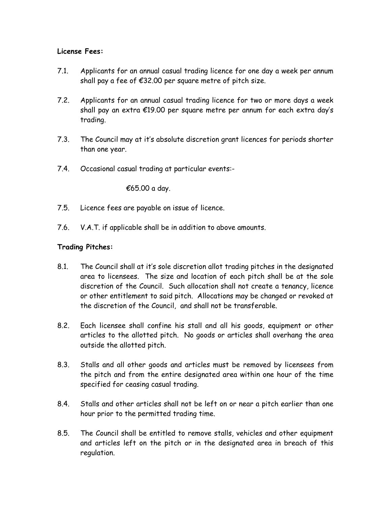## **License Fees:**

- 7.1. Applicants for an annual casual trading licence for one day a week per annum shall pay a fee of  $£32.00$  per square metre of pitch size.
- 7.2. Applicants for an annual casual trading licence for two or more days a week shall pay an extra €19.00 per square metre per annum for each extra day's trading.
- 7.3. The Council may at it's absolute discretion grant licences for periods shorter than one year.
- 7.4. Occasional casual trading at particular events:-

€65.00 a day.

- 7.5. Licence fees are payable on issue of licence.
- 7.6. V.A.T. if applicable shall be in addition to above amounts.

#### **Trading Pitches:**

- 8.1. The Council shall at it's sole discretion allot trading pitches in the designated area to licensees. The size and location of each pitch shall be at the sole discretion of the Council. Such allocation shall not create a tenancy, licence or other entitlement to said pitch. Allocations may be changed or revoked at the discretion of the Council, and shall not be transferable.
- 8.2. Each licensee shall confine his stall and all his goods, equipment or other articles to the allotted pitch. No goods or articles shall overhang the area outside the allotted pitch.
- 8.3. Stalls and all other goods and articles must be removed by licensees from the pitch and from the entire designated area within one hour of the time specified for ceasing casual trading.
- 8.4. Stalls and other articles shall not be left on or near a pitch earlier than one hour prior to the permitted trading time.
- 8.5. The Council shall be entitled to remove stalls, vehicles and other equipment and articles left on the pitch or in the designated area in breach of this regulation.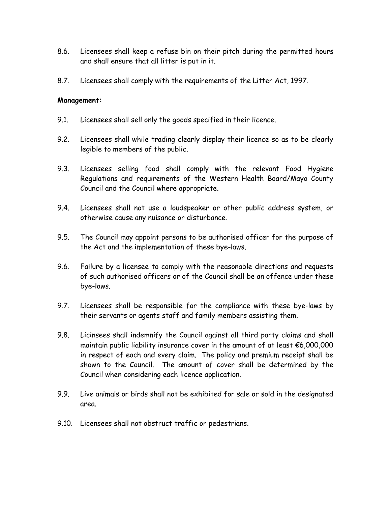- 8.6. Licensees shall keep a refuse bin on their pitch during the permitted hours and shall ensure that all litter is put in it.
- 8.7. Licensees shall comply with the requirements of the Litter Act, 1997.

#### **Management:**

- 9.1. Licensees shall sell only the goods specified in their licence.
- 9.2. Licensees shall while trading clearly display their licence so as to be clearly legible to members of the public.
- 9.3. Licensees selling food shall comply with the relevant Food Hygiene Regulations and requirements of the Western Health Board/Mayo County Council and the Council where appropriate.
- 9.4. Licensees shall not use a loudspeaker or other public address system, or otherwise cause any nuisance or disturbance.
- 9.5. The Council may appoint persons to be authorised officer for the purpose of the Act and the implementation of these bye-laws.
- 9.6. Failure by a licensee to comply with the reasonable directions and requests of such authorised officers or of the Council shall be an offence under these bye-laws.
- 9.7. Licensees shall be responsible for the compliance with these bye-laws by their servants or agents staff and family members assisting them.
- 9.8. Licinsees shall indemnify the Council against all third party claims and shall maintain public liability insurance cover in the amount of at least €6,000,000 in respect of each and every claim. The policy and premium receipt shall be shown to the Council. The amount of cover shall be determined by the Council when considering each licence application.
- 9.9. Live animals or birds shall not be exhibited for sale or sold in the designated area.
- 9.10. Licensees shall not obstruct traffic or pedestrians.